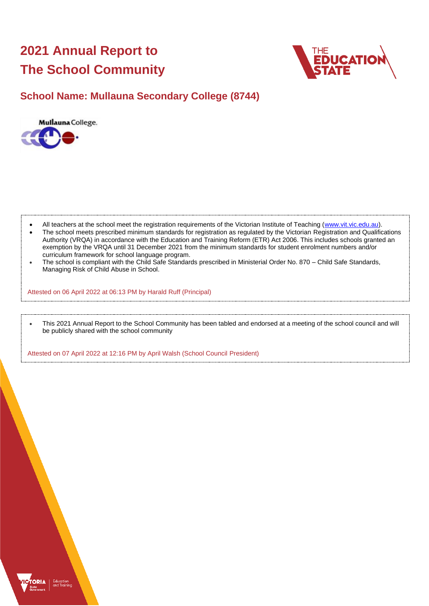# **2021 Annual Report to The School Community**



## **School Name: Mullauna Secondary College (8744)**



- All teachers at the school meet the registration requirements of the Victorian Institute of Teaching [\(www.vit.vic.edu.au\)](https://www.vit.vic.edu.au/).
- The school meets prescribed minimum standards for registration as regulated by the Victorian Registration and Qualifications Authority (VRQA) in accordance with the Education and Training Reform (ETR) Act 2006. This includes schools granted an exemption by the VRQA until 31 December 2021 from the minimum standards for student enrolment numbers and/or curriculum framework for school language program.
- The school is compliant with the Child Safe Standards prescribed in Ministerial Order No. 870 Child Safe Standards, Managing Risk of Child Abuse in School.

Attested on 06 April 2022 at 06:13 PM by Harald Ruff (Principal)

• This 2021 Annual Report to the School Community has been tabled and endorsed at a meeting of the school council and will be publicly shared with the school community

Attested on 07 April 2022 at 12:16 PM by April Walsh (School Council President)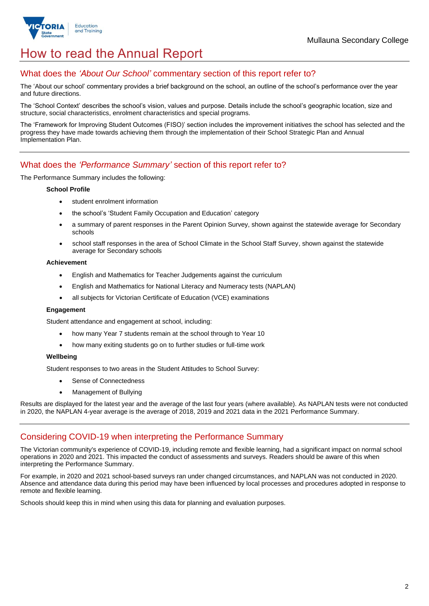

# How to read the Annual Report

## What does the *'About Our School'* commentary section of this report refer to?

The 'About our school' commentary provides a brief background on the school, an outline of the school's performance over the year and future directions.

The 'School Context' describes the school's vision, values and purpose. Details include the school's geographic location, size and structure, social characteristics, enrolment characteristics and special programs.

The 'Framework for Improving Student Outcomes (FISO)' section includes the improvement initiatives the school has selected and the progress they have made towards achieving them through the implementation of their School Strategic Plan and Annual Implementation Plan.

## What does the *'Performance Summary'* section of this report refer to?

The Performance Summary includes the following:

#### **School Profile**

- student enrolment information
- the school's 'Student Family Occupation and Education' category
- a summary of parent responses in the Parent Opinion Survey, shown against the statewide average for Secondary schools
- school staff responses in the area of School Climate in the School Staff Survey, shown against the statewide average for Secondary schools

#### **Achievement**

- English and Mathematics for Teacher Judgements against the curriculum
- English and Mathematics for National Literacy and Numeracy tests (NAPLAN)
- all subjects for Victorian Certificate of Education (VCE) examinations

#### **Engagement**

Student attendance and engagement at school, including:

- how many Year 7 students remain at the school through to Year 10
- how many exiting students go on to further studies or full-time work

#### **Wellbeing**

Student responses to two areas in the Student Attitudes to School Survey:

- Sense of Connectedness
- Management of Bullying

Results are displayed for the latest year and the average of the last four years (where available). As NAPLAN tests were not conducted in 2020, the NAPLAN 4-year average is the average of 2018, 2019 and 2021 data in the 2021 Performance Summary.

### Considering COVID-19 when interpreting the Performance Summary

The Victorian community's experience of COVID-19, including remote and flexible learning, had a significant impact on normal school operations in 2020 and 2021. This impacted the conduct of assessments and surveys. Readers should be aware of this when interpreting the Performance Summary.

For example, in 2020 and 2021 school-based surveys ran under changed circumstances, and NAPLAN was not conducted in 2020. Absence and attendance data during this period may have been influenced by local processes and procedures adopted in response to remote and flexible learning.

Schools should keep this in mind when using this data for planning and evaluation purposes.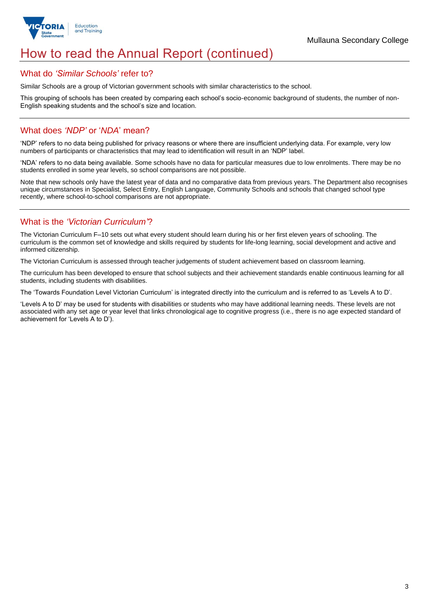

# How to read the Annual Report (continued)

### What do *'Similar Schools'* refer to?

Similar Schools are a group of Victorian government schools with similar characteristics to the school.

This grouping of schools has been created by comparing each school's socio-economic background of students, the number of non-English speaking students and the school's size and location.

### What does *'NDP'* or '*NDA*' mean?

'NDP' refers to no data being published for privacy reasons or where there are insufficient underlying data. For example, very low numbers of participants or characteristics that may lead to identification will result in an 'NDP' label.

'NDA' refers to no data being available. Some schools have no data for particular measures due to low enrolments. There may be no students enrolled in some year levels, so school comparisons are not possible.

Note that new schools only have the latest year of data and no comparative data from previous years. The Department also recognises unique circumstances in Specialist, Select Entry, English Language, Community Schools and schools that changed school type recently, where school-to-school comparisons are not appropriate.

## What is the *'Victorian Curriculum'*?

The Victorian Curriculum F–10 sets out what every student should learn during his or her first eleven years of schooling. The curriculum is the common set of knowledge and skills required by students for life-long learning, social development and active and informed citizenship.

The Victorian Curriculum is assessed through teacher judgements of student achievement based on classroom learning.

The curriculum has been developed to ensure that school subjects and their achievement standards enable continuous learning for all students, including students with disabilities.

The 'Towards Foundation Level Victorian Curriculum' is integrated directly into the curriculum and is referred to as 'Levels A to D'.

'Levels A to D' may be used for students with disabilities or students who may have additional learning needs. These levels are not associated with any set age or year level that links chronological age to cognitive progress (i.e., there is no age expected standard of achievement for 'Levels A to D').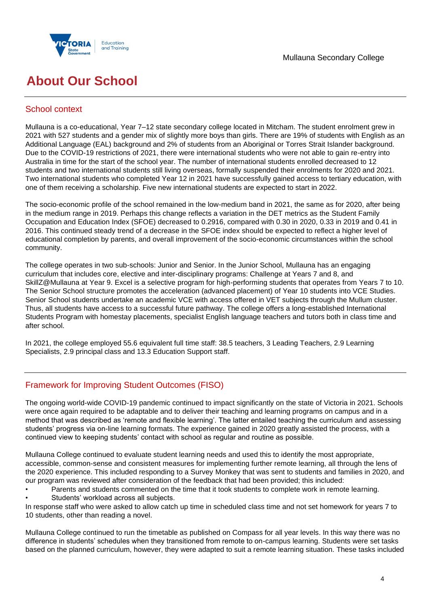



# **About Our School**

## School context

Mullauna is a co-educational, Year 7–12 state secondary college located in Mitcham. The student enrolment grew in 2021 with 527 students and a gender mix of slightly more boys than girls. There are 19% of students with English as an Additional Language (EAL) background and 2% of students from an Aboriginal or Torres Strait Islander background. Due to the COVID-19 restrictions of 2021, there were international students who were not able to gain re-entry into Australia in time for the start of the school year. The number of international students enrolled decreased to 12 students and two international students still living overseas, formally suspended their enrolments for 2020 and 2021. Two international students who completed Year 12 in 2021 have successfully gained access to tertiary education, with one of them receiving a scholarship. Five new international students are expected to start in 2022.

The socio-economic profile of the school remained in the low-medium band in 2021, the same as for 2020, after being in the medium range in 2019. Perhaps this change reflects a variation in the DET metrics as the Student Family Occupation and Education Index (SFOE) decreased to 0.2916, compared with 0.30 in 2020, 0.33 in 2019 and 0.41 in 2016. This continued steady trend of a decrease in the SFOE index should be expected to reflect a higher level of educational completion by parents, and overall improvement of the socio-economic circumstances within the school community.

The college operates in two sub-schools: Junior and Senior. In the Junior School, Mullauna has an engaging curriculum that includes core, elective and inter-disciplinary programs: Challenge at Years 7 and 8, and SkillZ@Mullauna at Year 9. Excel is a selective program for high-performing students that operates from Years 7 to 10. The Senior School structure promotes the acceleration (advanced placement) of Year 10 students into VCE Studies. Senior School students undertake an academic VCE with access offered in VET subjects through the Mullum cluster. Thus, all students have access to a successful future pathway. The college offers a long-established International Students Program with homestay placements, specialist English language teachers and tutors both in class time and after school.

In 2021, the college employed 55.6 equivalent full time staff: 38.5 teachers, 3 Leading Teachers, 2.9 Learning Specialists, 2.9 principal class and 13.3 Education Support staff.

## Framework for Improving Student Outcomes (FISO)

The ongoing world-wide COVID-19 pandemic continued to impact significantly on the state of Victoria in 2021. Schools were once again required to be adaptable and to deliver their teaching and learning programs on campus and in a method that was described as 'remote and flexible learning'. The latter entailed teaching the curriculum and assessing students' progress via on-line learning formats. The experience gained in 2020 greatly assisted the process, with a continued view to keeping students' contact with school as regular and routine as possible.

Mullauna College continued to evaluate student learning needs and used this to identify the most appropriate, accessible, common-sense and consistent measures for implementing further remote learning, all through the lens of the 2020 experience. This included responding to a Survey Monkey that was sent to students and families in 2020, and our program was reviewed after consideration of the feedback that had been provided; this included:

- Parents and students commented on the time that it took students to complete work in remote learning.
- Students' workload across all subjects.

In response staff who were asked to allow catch up time in scheduled class time and not set homework for years 7 to 10 students, other than reading a novel.

Mullauna College continued to run the timetable as published on Compass for all year levels. In this way there was no difference in students' schedules when they transitioned from remote to on-campus learning. Students were set tasks based on the planned curriculum, however, they were adapted to suit a remote learning situation. These tasks included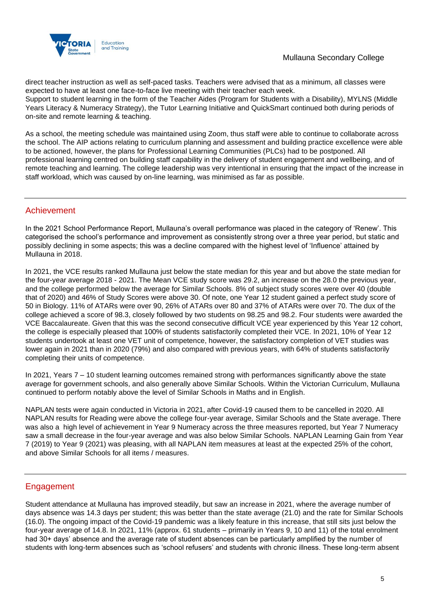

direct teacher instruction as well as self-paced tasks. Teachers were advised that as a minimum, all classes were expected to have at least one face-to-face live meeting with their teacher each week.

Support to student learning in the form of the Teacher Aides (Program for Students with a Disability), MYLNS (Middle Years Literacy & Numeracy Strategy), the Tutor Learning Initiative and QuickSmart continued both during periods of on-site and remote learning & teaching.

As a school, the meeting schedule was maintained using Zoom, thus staff were able to continue to collaborate across the school. The AIP actions relating to curriculum planning and assessment and building practice excellence were able to be actioned, however, the plans for Professional Learning Communities (PLCs) had to be postponed. All professional learning centred on building staff capability in the delivery of student engagement and wellbeing, and of remote teaching and learning. The college leadership was very intentional in ensuring that the impact of the increase in staff workload, which was caused by on-line learning, was minimised as far as possible.

### Achievement

In the 2021 School Performance Report, Mullauna's overall performance was placed in the category of 'Renew'. This categorised the school's performance and improvement as consistently strong over a three year period, but static and possibly declining in some aspects; this was a decline compared with the highest level of 'Influence' attained by Mullauna in 2018.

In 2021, the VCE results ranked Mullauna just below the state median for this year and but above the state median for the four-year average 2018 - 2021. The Mean VCE study score was 29.2, an increase on the 28.0 the previous year, and the college performed below the average for Similar Schools. 8% of subject study scores were over 40 (double that of 2020) and 46% of Study Scores were above 30. Of note, one Year 12 student gained a perfect study score of 50 in Biology. 11% of ATARs were over 90, 26% of ATARs over 80 and 37% of ATARs were over 70. The dux of the college achieved a score of 98.3, closely followed by two students on 98.25 and 98.2. Four students were awarded the VCE Baccalaureate. Given that this was the second consecutive difficult VCE year experienced by this Year 12 cohort, the college is especially pleased that 100% of students satisfactorily completed their VCE. In 2021, 10% of Year 12 students undertook at least one VET unit of competence, however, the satisfactory completion of VET studies was lower again in 2021 than in 2020 (79%) and also compared with previous years, with 64% of students satisfactorily completing their units of competence.

In 2021, Years 7 – 10 student learning outcomes remained strong with performances significantly above the state average for government schools, and also generally above Similar Schools. Within the Victorian Curriculum, Mullauna continued to perform notably above the level of Similar Schools in Maths and in English.

NAPLAN tests were again conducted in Victoria in 2021, after Covid-19 caused them to be cancelled in 2020. All NAPLAN results for Reading were above the college four-year average, Similar Schools and the State average. There was also a high level of achievement in Year 9 Numeracy across the three measures reported, but Year 7 Numeracy saw a small decrease in the four-year average and was also below Similar Schools. NAPLAN Learning Gain from Year 7 (2019) to Year 9 (2021) was pleasing, with all NAPLAN item measures at least at the expected 25% of the cohort, and above Similar Schools for all items / measures.

### Engagement

Student attendance at Mullauna has improved steadily, but saw an increase in 2021, where the average number of days absence was 14.3 days per student; this was better than the state average (21.0) and the rate for Similar Schools (16.0). The ongoing impact of the Covid-19 pandemic was a likely feature in this increase, that still sits just below the four-year average of 14.8. In 2021, 11% (approx. 61 students – primarily in Years 9, 10 and 11) of the total enrolment had 30+ days' absence and the average rate of student absences can be particularly amplified by the number of students with long-term absences such as 'school refusers' and students with chronic illness. These long-term absent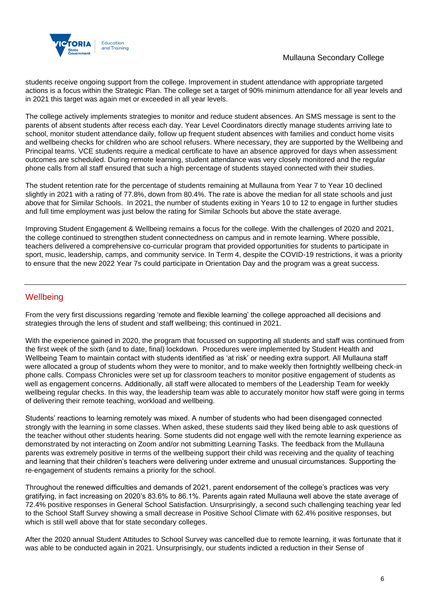

students receive ongoing support from the college. Improvement in student attendance with appropriate targeted actions is a focus within the Strategic Plan. The college set a target of 90% minimum attendance for all year levels and in 2021 this target was again met or exceeded in all year levels.

The college actively implements strategies to monitor and reduce student absences. An SMS message is sent to the parents of absent students after recess each day. Year Level Coordinators directly manage students arriving late to school, monitor student attendance daily, follow up frequent student absences with families and conduct home visits and wellbeing checks for children who are school refusers. Where necessary, they are supported by the Wellbeing and Principal teams. VCE students require a medical certificate to have an absence approved for days when assessment outcomes are scheduled. During remote learning, student attendance was very closely monitored and the regular phone calls from all staff ensured that such a high percentage of students stayed connected with their studies.

The student retention rate for the percentage of students remaining at Mullauna from Year 7 to Year 10 declined slightly in 2021 with a rating of 77.8%, down from 80.4%. The rate is above the median for all state schools and just above that for Similar Schools. In 2021, the number of students exiting in Years 10 to 12 to engage in further studies and full time employment was just below the rating for Similar Schools but above the state average.

Improving Student Engagement & Wellbeing remains a focus for the college. With the challenges of 2020 and 2021, the college continued to strengthen student connectedness on campus and in remote learning. Where possible, teachers delivered a comprehensive co-curricular program that provided opportunities for students to participate in sport, music, leadership, camps, and community service. In Term 4, despite the COVID-19 restrictions, it was a priority to ensure that the new 2022 Year 7s could participate in Orientation Day and the program was a great success.

## **Wellbeing**

From the very first discussions regarding 'remote and flexible learning' the college approached all decisions and strategies through the lens of student and staff wellbeing; this continued in 2021.

With the experience gained in 2020, the program that focussed on supporting all students and staff was continued from the first week of the sixth (and to date, final) lockdown. Procedures were implemented by Student Health and Wellbeing Team to maintain contact with students identified as 'at risk' or needing extra support. All Mullauna staff were allocated a group of students whom they were to monitor, and to make weekly then fortnightly wellbeing check-in phone calls. Compass Chronicles were set up for classroom teachers to monitor positive engagement of students as well as engagement concerns. Additionally, all staff were allocated to members of the Leadership Team for weekly wellbeing regular checks. In this way, the leadership team was able to accurately monitor how staff were going in terms of delivering their remote teaching, workload and wellbeing.

Students' reactions to learning remotely was mixed. A number of students who had been disengaged connected strongly with the learning in some classes. When asked, these students said they liked being able to ask questions of the teacher without other students hearing. Some students did not engage well with the remote learning experience as demonstrated by not interacting on Zoom and/or not submitting Learning Tasks. The feedback from the Mullauna parents was extremely positive in terms of the wellbeing support their child was receiving and the quality of teaching and learning that their children's teachers were delivering under extreme and unusual circumstances. Supporting the re-engagement of students remains a priority for the school.

Throughout the renewed difficulties and demands of 2021, parent endorsement of the college's practices was very gratifying, in fact increasing on 2020's 83.6% to 86.1%. Parents again rated Mullauna well above the state average of 72.4% positive responses in General School Satisfaction. Unsurprisingly, a second such challenging teaching year led to the School Staff Survey showing a small decrease in Positive School Climate with 62.4% positive responses, but which is still well above that for state secondary colleges.

After the 2020 annual Student Attitudes to School Survey was cancelled due to remote learning, it was fortunate that it was able to be conducted again in 2021. Unsurprisingly, our students indicted a reduction in their Sense of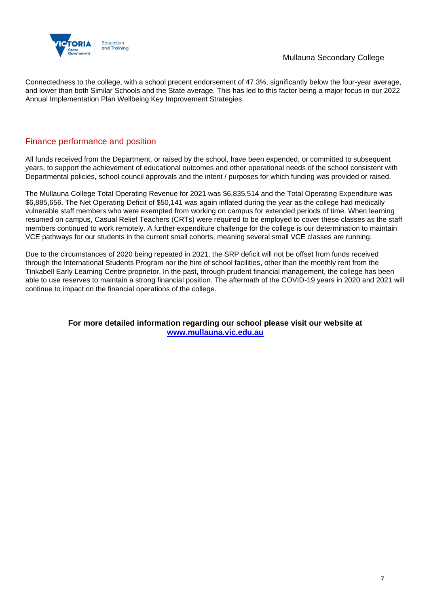

Connectedness to the college, with a school precent endorsement of 47.3%, significantly below the four-year average, and lower than both Similar Schools and the State average. This has led to this factor being a major focus in our 2022 Annual Implementation Plan Wellbeing Key Improvement Strategies.

## Finance performance and position

All funds received from the Department, or raised by the school, have been expended, or committed to subsequent years, to support the achievement of educational outcomes and other operational needs of the school consistent with Departmental policies, school council approvals and the intent / purposes for which funding was provided or raised.

The Mullauna College Total Operating Revenue for 2021 was \$6,835,514 and the Total Operating Expenditure was \$6,885,656. The Net Operating Deficit of \$50,141 was again inflated during the year as the college had medically vulnerable staff members who were exempted from working on campus for extended periods of time. When learning resumed on campus, Casual Relief Teachers (CRTs) were required to be employed to cover these classes as the staff members continued to work remotely. A further expenditure challenge for the college is our determination to maintain VCE pathways for our students in the current small cohorts, meaning several small VCE classes are running.

Due to the circumstances of 2020 being repeated in 2021, the SRP deficit will not be offset from funds received through the International Students Program nor the hire of school facilities, other than the monthly rent from the Tinkabell Early Learning Centre proprietor. In the past, through prudent financial management, the college has been able to use reserves to maintain a strong financial position. The aftermath of the COVID-19 years in 2020 and 2021 will continue to impact on the financial operations of the college.

> **For more detailed information regarding our school please visit our website at [www.mullauna.vic.edu.au](file:///C:/Users/02384173/Downloads/www.mullauna.vic.edu.au)**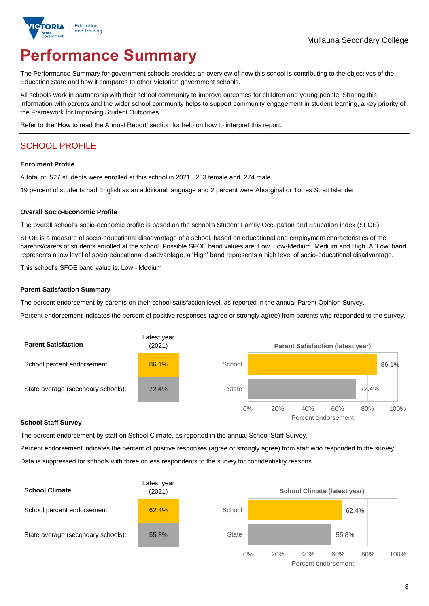# **Performance Summary**

The Performance Summary for government schools provides an overview of how this school is contributing to the objectives of the Education State and how it compares to other Victorian government schools.

All schools work in partnership with their school community to improve outcomes for children and young people. Sharing this information with parents and the wider school community helps to support community engagement in student learning, a key priority of the Framework for Improving Student Outcomes.

Refer to the 'How to read the Annual Report' section for help on how to interpret this report.

## SCHOOL PROFILE

#### **Enrolment Profile**

A total of 527 students were enrolled at this school in 2021, 253 female and 274 male.

19 percent of students had English as an additional language and 2 percent were Aboriginal or Torres Strait Islander.

#### **Overall Socio-Economic Profile**

The overall school's socio-economic profile is based on the school's Student Family Occupation and Education index (SFOE).

SFOE is a measure of socio-educational disadvantage of a school, based on educational and employment characteristics of the parents/carers of students enrolled at the school. Possible SFOE band values are: Low, Low-Medium, Medium and High. A 'Low' band represents a low level of socio-educational disadvantage, a 'High' band represents a high level of socio-educational disadvantage.

This school's SFOE band value is: Low - Medium

#### **Parent Satisfaction Summary**

The percent endorsement by parents on their school satisfaction level, as reported in the annual Parent Opinion Survey.

Percent endorsement indicates the percent of positive responses (agree or strongly agree) from parents who responded to the survey.



#### **School Staff Survey**

The percent endorsement by staff on School Climate, as reported in the annual School Staff Survey.

Percent endorsement indicates the percent of positive responses (agree or strongly agree) from staff who responded to the survey. Data is suppressed for schools with three or less respondents to the survey for confidentiality reasons.

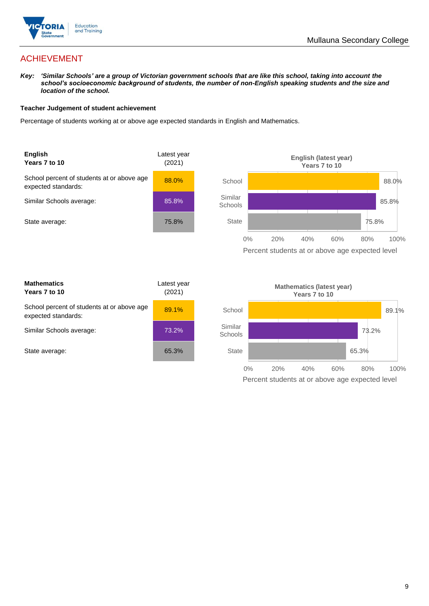

## ACHIEVEMENT

*Key: 'Similar Schools' are a group of Victorian government schools that are like this school, taking into account the school's socioeconomic background of students, the number of non-English speaking students and the size and location of the school.*

#### **Teacher Judgement of student achievement**

Percentage of students working at or above age expected standards in English and Mathematics.



| <b>Mathematics</b><br>Years 7 to 10                               | Latest year<br>(2021) |  |
|-------------------------------------------------------------------|-----------------------|--|
| School percent of students at or above age<br>expected standards: | 89.1%                 |  |
| Similar Schools average:                                          | 73.2%                 |  |
| State average:                                                    | 65.3%                 |  |

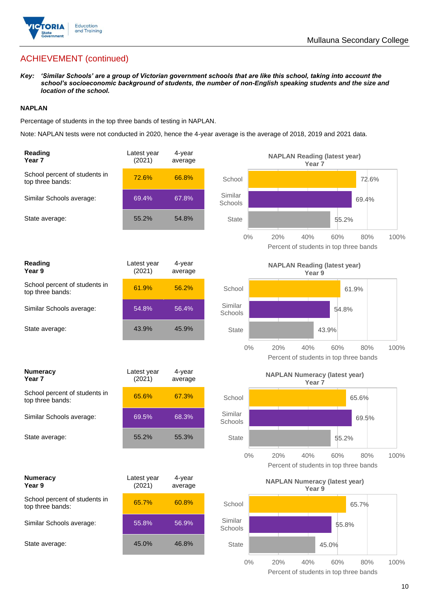

# ACHIEVEMENT (continued)

*Key: 'Similar Schools' are a group of Victorian government schools that are like this school, taking into account the school's socioeconomic background of students, the number of non-English speaking students and the size and location of the school.*

#### **NAPLAN**

Percentage of students in the top three bands of testing in NAPLAN.

Note: NAPLAN tests were not conducted in 2020, hence the 4-year average is the average of 2018, 2019 and 2021 data.

| Reading<br>Year <sub>7</sub>                      | Latest year<br>(2021) | 4-year<br>average |                    | <b>NAPLAN Reading (latest year)</b><br>Year <sub>7</sub>  |                                                      |      |
|---------------------------------------------------|-----------------------|-------------------|--------------------|-----------------------------------------------------------|------------------------------------------------------|------|
| School percent of students in<br>top three bands: | 72.6%                 | 66.8%             | School             |                                                           | 72.6%                                                |      |
| Similar Schools average:                          | 69.4%                 | 67.8%             | Similar<br>Schools |                                                           | 69.4%                                                |      |
| State average:                                    | 55.2%                 | 54.8%             | <b>State</b>       |                                                           | 55.2%                                                |      |
|                                                   |                       |                   | 0%                 | 20%<br>40%                                                | 60%<br>80%<br>Percent of students in top three bands | 100% |
| Reading<br>Year 9                                 | Latest year<br>(2021) | 4-year<br>average |                    | <b>NAPLAN Reading (latest year)</b><br>Year 9             |                                                      |      |
| School percent of students in<br>top three bands: | 61.9%                 | 56.2%             | School             |                                                           | 61.9%                                                |      |
| Similar Schools average:                          | 54.8%                 | 56.4%             | Similar<br>Schools |                                                           | 54.8%                                                |      |
| State average:                                    | 43.9%                 | 45.9%             | <b>State</b>       |                                                           | 43.9%                                                |      |
|                                                   |                       |                   | $0\%$              | 20%<br>40%                                                | 60%<br>80%<br>Percent of students in top three bands | 100% |
| <b>Numeracy</b><br>Year <sub>7</sub>              | Latest year<br>(2021) | 4-year<br>average |                    | <b>NAPLAN Numeracy (latest year)</b><br>Year <sub>7</sub> |                                                      |      |
| School percent of students in<br>top three bands: | 65.6%                 | 67.3%             | School             |                                                           | 65.6%                                                |      |
| Similar Schools average:                          | 69.5%                 | 68.3%             | Similar<br>Schools |                                                           | 69.5%                                                |      |
| State average:                                    | 55.2%                 | 55.3%             | <b>State</b>       |                                                           | 55.2%                                                |      |
|                                                   |                       |                   | $0\%$              | 20%<br>40%                                                | 60%<br>80%<br>Percent of students in top three bands | 100% |
| <b>Numeracy</b><br>Year 9                         | Latest year<br>(2021) | 4-year<br>average |                    | <b>NAPLAN Numeracy (latest year)</b><br>Year 9            |                                                      |      |
| School percent of students in<br>top three bands: | 65.7%                 | 60.8%             | School             |                                                           | 65.7%                                                |      |
| Similar Schools average:                          | 55.8%                 | 56.9%             | Similar<br>Schools |                                                           | 55.8%                                                |      |
| State average:                                    | 45.0%                 | 46.8%             | <b>State</b>       |                                                           | 45.0%                                                |      |
|                                                   |                       |                   | $0\%$              | 20%<br>40%                                                | 80%<br>60%<br>Percent of students in top three bands | 100% |

10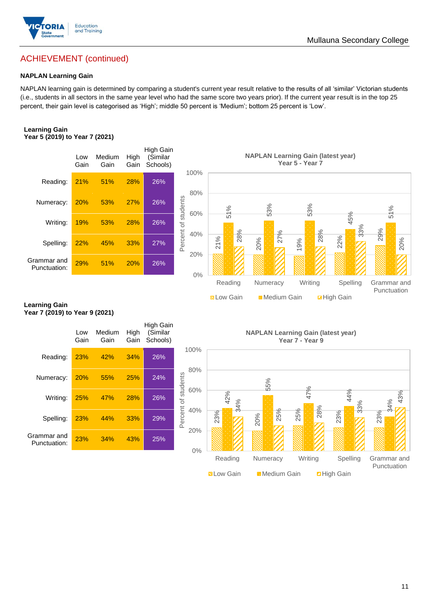

## ACHIEVEMENT (continued)

#### **NAPLAN Learning Gain**

NAPLAN learning gain is determined by comparing a student's current year result relative to the results of all 'similar' Victorian students (i.e., students in all sectors in the same year level who had the same score two years prior). If the current year result is in the top 25 percent, their gain level is categorised as 'High'; middle 50 percent is 'Medium'; bottom 25 percent is 'Low'.

#### **Learning Gain Year 5 (2019) to Year 7 (2021)**



#### **Learning Gain Year 7 (2019) to Year 9 (2021)**

|                             | Low<br>Gain | Medium<br>Gain | High<br>Gain | High Gain<br>(Similar<br>Schools) |                            |            |
|-----------------------------|-------------|----------------|--------------|-----------------------------------|----------------------------|------------|
| Reading:                    | 23%         | 42%            | 34%          | 26%                               | 100%                       |            |
| Numeracy:                   | <b>20%</b>  | 55%            | 25%          | 24%                               | 80%                        |            |
| Writing:                    | <b>25%</b>  | 47%            | 28%          | 26%                               | Percent of students<br>60% | 42%<br>34% |
| Spelling:                   | <b>23%</b>  | 44%            | 33%          | 29%                               | 40%                        | 23%        |
| Grammar and<br>Punctuation: | 23%         | 34%            | 43%          | 25%                               | 20%                        |            |
|                             |             |                |              |                                   | 0%                         |            |

**NAPLAN Learning Gain (latest year) Year 7 - Year 9**

**N** Low Gain **Medium Gain E** High Gain

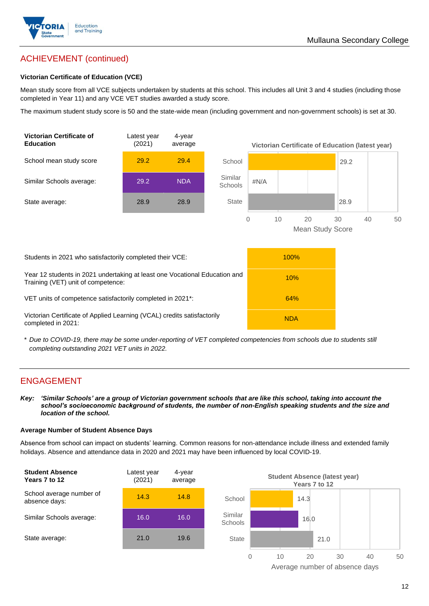

## ACHIEVEMENT (continued)

#### **Victorian Certificate of Education (VCE)**

Mean study score from all VCE subjects undertaken by students at this school. This includes all Unit 3 and 4 studies (including those completed in Year 11) and any VCE VET studies awarded a study score.

The maximum student study score is 50 and the state-wide mean (including government and non-government schools) is set at 30.



\* *Due to COVID-19, there may be some under-reporting of VET completed competencies from schools due to students still completing outstanding 2021 VET units in 2022.*

### ENGAGEMENT

*Key: 'Similar Schools' are a group of Victorian government schools that are like this school, taking into account the school's socioeconomic background of students, the number of non-English speaking students and the size and location of the school.*

#### **Average Number of Student Absence Days**

Absence from school can impact on students' learning. Common reasons for non-attendance include illness and extended family holidays. Absence and attendance data in 2020 and 2021 may have been influenced by local COVID-19.



Average number of absence days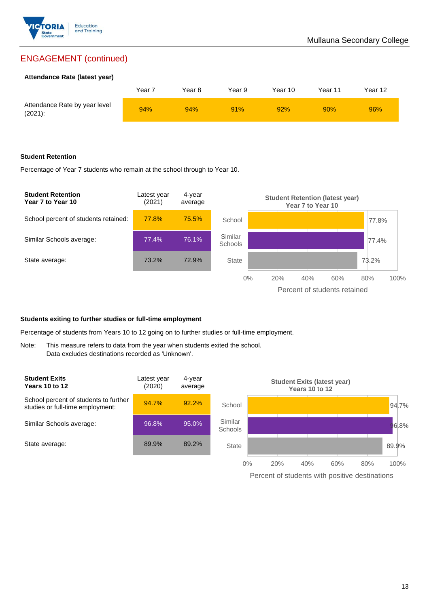

## ENGAGEMENT (continued)

#### **Attendance Rate (latest year)**

|                                             | Year i | Year 8 | Year 9 | Year 10 | Year 11 | Year 12 |
|---------------------------------------------|--------|--------|--------|---------|---------|---------|
| Attendance Rate by year level<br>$(2021)$ : | 94%    | 94%    | 91%    | 92%     | 90%     | 96%     |

#### **Student Retention**

Percentage of Year 7 students who remain at the school through to Year 10.



#### **Students exiting to further studies or full-time employment**

Percentage of students from Years 10 to 12 going on to further studies or full-time employment.

Note: This measure refers to data from the year when students exited the school. Data excludes destinations recorded as 'Unknown'.



Percent of students with positive destinations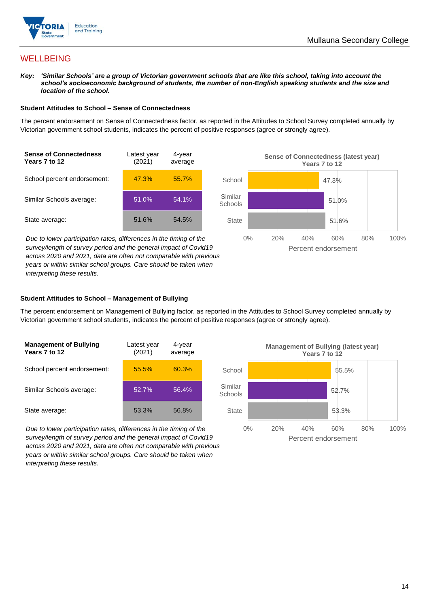

## **WELLBEING**

*Key: 'Similar Schools' are a group of Victorian government schools that are like this school, taking into account the school's socioeconomic background of students, the number of non-English speaking students and the size and location of the school.*

#### **Student Attitudes to School – Sense of Connectedness**

The percent endorsement on Sense of Connectedness factor, as reported in the Attitudes to School Survey completed annually by Victorian government school students, indicates the percent of positive responses (agree or strongly agree).



*Due to lower participation rates, differences in the timing of the survey/length of survey period and the general impact of Covid19 across 2020 and 2021, data are often not comparable with previous years or within similar school groups. Care should be taken when interpreting these results.*



#### **Student Attitudes to School – Management of Bullying**

The percent endorsement on Management of Bullying factor, as reported in the Attitudes to School Survey completed annually by Victorian government school students, indicates the percent of positive responses (agree or strongly agree).

| <b>Management of Bullying</b><br>Years 7 to 12 | Latest year<br>(2021) | 4-year<br>average |  |
|------------------------------------------------|-----------------------|-------------------|--|
| School percent endorsement:                    | 55.5%                 | 60.3%             |  |
| Similar Schools average:                       | 52.7%                 | 56.4%             |  |
| State average:                                 | 53.3%                 | 56.8%             |  |

*Due to lower participation rates, differences in the timing of the survey/length of survey period and the general impact of Covid19 across 2020 and 2021, data are often not comparable with previous years or within similar school groups. Care should be taken when interpreting these results.*

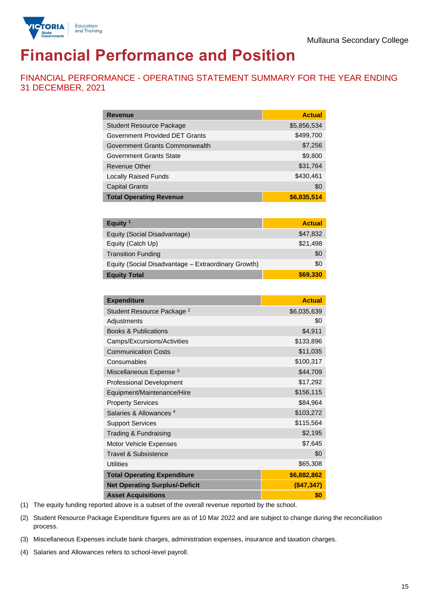

# **Financial Performance and Position**

FINANCIAL PERFORMANCE - OPERATING STATEMENT SUMMARY FOR THE YEAR ENDING 31 DECEMBER, 2021

| <b>Revenue</b>                  | <b>Actual</b> |
|---------------------------------|---------------|
| <b>Student Resource Package</b> | \$5,856,534   |
| Government Provided DET Grants  | \$499,700     |
| Government Grants Commonwealth  | \$7,256       |
| Government Grants State         | \$9,800       |
| <b>Revenue Other</b>            | \$31,764      |
| <b>Locally Raised Funds</b>     | \$430,461     |
| <b>Capital Grants</b>           | \$0           |
| <b>Total Operating Revenue</b>  | \$6,835,514   |

| Equity $1$                                          | <b>Actual</b> |
|-----------------------------------------------------|---------------|
| Equity (Social Disadvantage)                        | \$47,832      |
| Equity (Catch Up)                                   | \$21,498      |
| <b>Transition Funding</b>                           | \$0           |
| Equity (Social Disadvantage - Extraordinary Growth) | \$0           |
| <b>Equity Total</b>                                 | \$69,330      |

| <b>Expenditure</b>                    | <b>Actual</b> |
|---------------------------------------|---------------|
| Student Resource Package <sup>2</sup> | \$6,035,639   |
| Adjustments                           | \$0           |
| <b>Books &amp; Publications</b>       | \$4,911       |
| Camps/Excursions/Activities           | \$133,896     |
| <b>Communication Costs</b>            | \$11,035      |
| Consumables                           | \$100,317     |
| Miscellaneous Expense <sup>3</sup>    | \$44,709      |
| <b>Professional Development</b>       | \$17,292      |
| Equipment/Maintenance/Hire            | \$156,115     |
| <b>Property Services</b>              | \$84,964      |
| Salaries & Allowances <sup>4</sup>    | \$103,272     |
| <b>Support Services</b>               | \$115,564     |
| Trading & Fundraising                 | \$2,195       |
| Motor Vehicle Expenses                | \$7,645       |
| Travel & Subsistence                  | \$0           |
| <b>Utilities</b>                      | \$65,308      |
| <b>Total Operating Expenditure</b>    | \$6,882,862   |
| <b>Net Operating Surplus/-Deficit</b> | (\$47,347)    |
| <b>Asset Acquisitions</b>             | \$0           |

(1) The equity funding reported above is a subset of the overall revenue reported by the school.

(2) Student Resource Package Expenditure figures are as of 10 Mar 2022 and are subject to change during the reconciliation process.

(3) Miscellaneous Expenses include bank charges, administration expenses, insurance and taxation charges.

(4) Salaries and Allowances refers to school-level payroll.